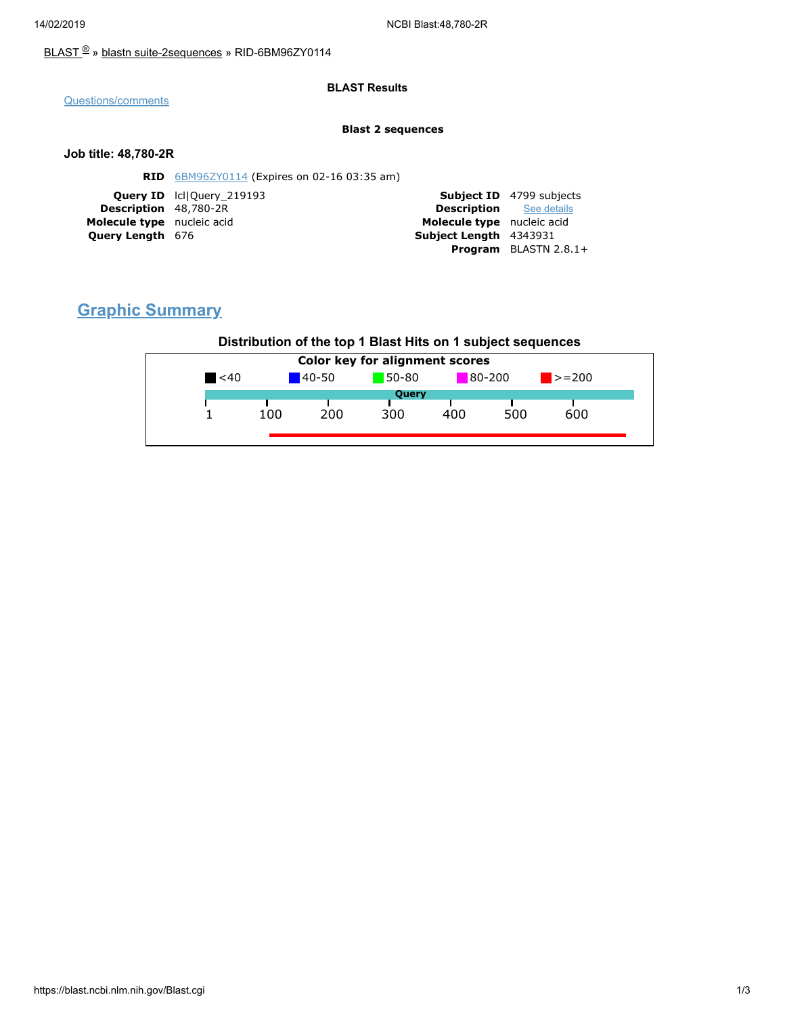### [BLAST](https://blast.ncbi.nlm.nih.gov/Blast.cgi) ® » blastn [suite-2sequences](https://blast.ncbi.nlm.nih.gov/Blast.cgi?PAGE=MegaBlast&PROGRAM=blastn&PAGE_TYPE=BlastSearch&BLAST_SPEC=blast2seq) » RID-6BM96ZY0114

### **BLAST Results**

[Questions/comments](https://support.nlm.nih.gov/knowledgebase/category/?id=CAT-01239)

#### **Blast 2 sequences**

### **Job title: 48,780-2R**

| <b>RID</b> 6BM96ZY0114 (Expires on 02-16 03:35 am) |                                |                                 |
|----------------------------------------------------|--------------------------------|---------------------------------|
| <b>Query ID</b> IcllOuery 219193                   |                                | <b>Subject ID</b> 4799 subjects |
| <b>Description</b> 48,780-2R                       | <b>Description</b> See details |                                 |
| Molecule type nucleic acid                         | Molecule type nucleic acid     |                                 |
| <b>Query Length 676</b>                            | Subject Length 4343931         |                                 |
|                                                    |                                | <b>Program</b> BLASTN $2.8.1+$  |
|                                                    |                                |                                 |

# **Graphic Summary**

## **Distribution of the top 1 Blast Hits on 1 subject sequences**

| $80 - 200$<br>50-80<br>$140 - 50$<br>$\leq 40$<br>$\ge$ = 200<br>Query<br>500<br>200<br>600<br>100<br>300<br>400 | Color key for alignment scores |  |  |  |  |  |  |
|------------------------------------------------------------------------------------------------------------------|--------------------------------|--|--|--|--|--|--|
|                                                                                                                  |                                |  |  |  |  |  |  |
|                                                                                                                  |                                |  |  |  |  |  |  |
|                                                                                                                  |                                |  |  |  |  |  |  |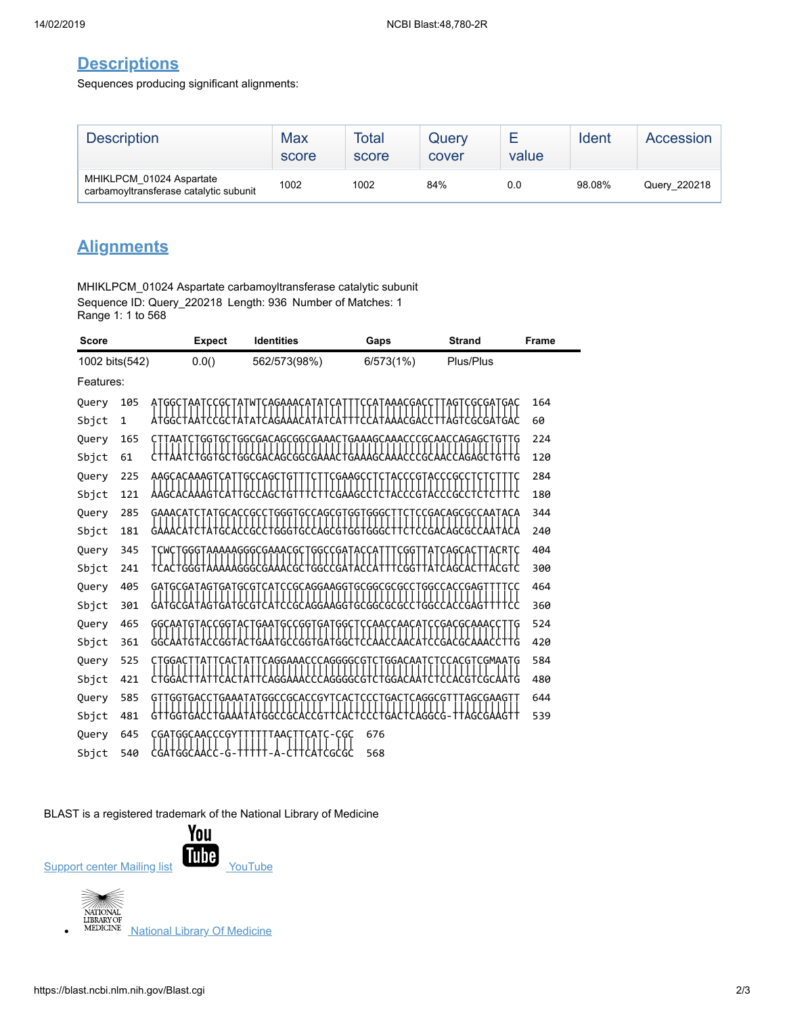## **Descriptions**

Sequences producing significant alignments:

| <b>Description</b>                                                 | Max<br>score | Total<br>score | Query<br>cover | value | Ident  | Accession    |
|--------------------------------------------------------------------|--------------|----------------|----------------|-------|--------|--------------|
| MHIKLPCM 01024 Aspartate<br>carbamovitransferase catalytic subunit | 1002         | 1002           | 84%            | 0.0   | 98.08% | Query 220218 |

# **Alignments**

MHIKLPCM\_01024 Aspartate carbamoyltransferase catalytic subunit Sequence ID: Query\_220218 Length: 936 Number of Matches: 1 Range 1: 1 to 568

| <b>Score</b>   |              | <b>Expect</b>          | <b>Identities</b>                                       | Gaps           | <b>Strand</b>                | Frame |
|----------------|--------------|------------------------|---------------------------------------------------------|----------------|------------------------------|-------|
| 1002 bits(542) |              | 0.0()                  | 562/573(98%)                                            | 6/573(1%)      | Plus/Plus                    |       |
| Features:      |              |                        |                                                         |                |                              |       |
| Query          | 105          | Ą٦                     | TCAGAAACA<br>W                                          | AAACGA         | GCGATGAC                     | 164   |
| Sbjct          | $\mathbf{1}$ | <b>ATGGCTAAT</b>       |                                                         |                | TAGTCGCGAT                   | 60    |
| Query          | 165          | TAATC                  | :GGTGCTGGCGACAGCGGCGAAACTGAAAGCAAACCCGCAACCAGAGCTGTTG   |                |                              | 224   |
| Sbjct          | 61           | GG                     | TGGCGACAGCGGCGAAA                                       | GAA<br>G<br>ĆĠ |                              | 120   |
| Query          | 225          | AAGCACAAA              |                                                         | G              |                              | 284   |
| Sbjct          | 121          | G                      | GC<br>GC<br>G                                           | G<br>GC        | GC                           | 180   |
| Query          | 285          | GAAACAT<br><b>GCAC</b> | GCCAGCGTGGT<br>GC<br>'GGGT                              | GGG            | :CGACAGCGCCAATACA            | 344   |
| Sbjct          | 181          |                        | GGG                                                     | 1 GG           | GC<br>Ġ٢                     | 240   |
| Query          | 345          |                        | ТСWCTGGGTAAAAAGGGCGAAACGCTGGCCGATACC                    |                | CAGCA<br>ACRTC               | 404   |
| Sbjct          | 241          | TCACTGGG1              | TGGCCGATAC                                              |                |                              | 300   |
| Query          | 405          |                        | GATGCGATAGTGATGCGTCATCCGCAGGAAGGTGCGGCGCGCCTGGCCACCGAGT |                | тсс                          | 464   |
| Sbjct          | 301          |                        | :GCAGGAAGGTGC<br>G                                      | :GGCGC         |                              | 360   |
| Query          | 465          | GGCAA                  |                                                         | AACCAACA       | GACGCAAA:                    | 524   |
| Sbjct          | 361          | 66CAAT<br>GT<br>CGG1   | GΑ<br>ATGCCGGTGATGGC1                                   |                | CATCCGACGC                   | 420   |
| Query          | 525          |                        | AGGAAACCCAGGGGCG                                        | <b>GGACAA</b>  | G<br><b>CGMAATG</b>          | 584   |
| Sbjct          | 421          |                        |                                                         |                | AATG<br>G<br>`GC             | 480   |
| Query          | 585          |                        | GAAATATGGCCGCACCGYT                                     |                | <b>CAGGCGTT</b><br>TAGCGAAGT | 644   |
| Sbjct          | 481          | GTTGGTGAC              | G1<br>G                                                 |                |                              | 539   |
| Query          | 645          | <b>GGCAACCCGY</b>      | TAA                                                     | 676            |                              |       |
| Sbjct          | 540          | CGATGGC<br>G           | .CGCGC                                                  | 568            |                              |       |

BLAST is a registered trademark of the National Library of Medicine



**National Library Of [Medicine](https://www.nlm.nih.gov/)** 

 $\bullet$